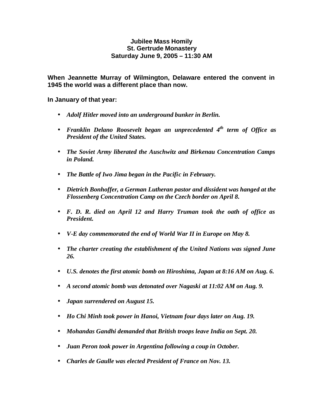### **Jubilee Mass Homily St. Gertrude Monastery Saturday June 9, 2005 – 11:30 AM**

**When Jeannette Murray of Wilmington, Delaware entered the convent in 1945 the world was a different place than now.** 

**In January of that year:**

- *Adolf Hitler moved into an underground bunker in Berlin.*
- **•** Franklin Delano Roosevelt began an unprecedented 4<sup>th</sup> term of Office as *President of the United States.*
- *The Soviet Army liberated the Auschwitz and Birkenau Concentration Camps in Poland.*
- *The Battle of Iwo Jima began in the Pacific in February.*
- *Dietrich Bonhoffer, a German Lutheran pastor and dissident was hanged at the Flossenberg Concentration Camp on the Czech border on April 8.*
- *F. D. R. died on April 12 and Harry Truman took the oath of office as President.*
- *V-E day commemorated the end of World War II in Europe on May 8.*
- *The charter creating the establishment of the United Nations was signed June 26.*
- *U.S. denotes the first atomic bomb on Hiroshima, Japan at 8:16 AM on Aug. 6.*
- *A second atomic bomb was detonated over Nagaski at 11:02 AM on Aug. 9.*
- *Japan surrendered on August 15.*
- *Ho Chi Minh took power in Hanoi, Vietnam four days later on Aug. 19.*
- *Mohandas Gandhi demanded that British troops leave India on Sept. 20.*
- *Juan Peron took power in Argentina following a coup in October.*
- *Charles de Gaulle was elected President of France on Nov. 13.*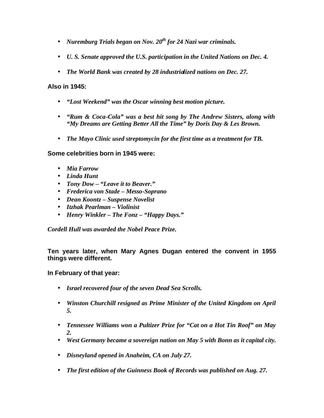- *Nuremburg Trials began on Nov. 20th for 24 Nazi war criminals.*
- *U. S. Senate approved the U.S. participation in the United Nations on Dec. 4.*
- *The World Bank was created by 28 industrialized nations on Dec. 27.*

# **Also in 1945:**

- *"Lost Weekend" was the Oscar winning best motion picture.*
- *"Rum & Coca-Cola" was a best hit song by The Andrew Sisters, along with "My Dreams are Getting Better All the Time" by Doris Day & Les Brown.*
- *The Mayo Clinic used streptomycin for the first time as a treatment for TB.*

## **Some celebrities born in 1945 were:**

- *Mia Farrow*
- *Linda Hunt*
- *Tony Dow "Leave it to Beaver."*
- *Frederica von Stade Messo-Soprano*
- *Dean Koontz Suspense Novelist*
- *Itzhak Pearlman Violinist*
- *Henry Winkler The Fonz "Happy Days."*

*Cordell Hull was awarded the Nobel Peace Prize.*

**Ten years later, when Mary Agnes Dugan entered the convent in 1955 things were different.**

## **In February of that year:**

- *Israel recovered four of the seven Dead Sea Scrolls.*
- *Winston Churchill resigned as Prime Minister of the United Kingdom on April 5.*
- *Tennessee Williams won a Pultizer Prize for "Cat on a Hot Tin Roof" on May 2.*
- *West Germany became a sovereign nation on May 5 with Bonn as it capital city.*
- *Disneyland opened in Anaheim, CA on July 27.*
- *The first edition of the Guinness Book of Records was published on Aug. 27.*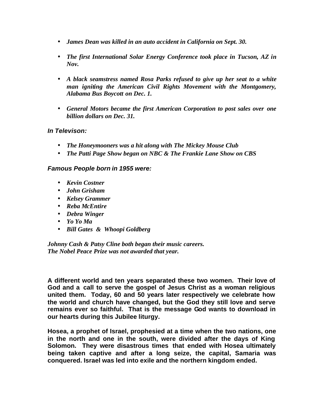- *James Dean was killed in an auto accident in California on Sept. 30.*
- *The first International Solar Energy Conference took place in Tucson, AZ in Nov.*
- *A black seamstress named Rosa Parks refused to give up her seat to a white man igniting the American Civil Rights Movement with the Montgomery, Alabama Bus Boycott on Dec. 1.*
- *General Motors became the first American Corporation to post sales over one billion dollars on Dec. 31.*

## *In Televison:*

- *The Honeymooners was a hit along with The Mickey Mouse Club*
- *The Patti Page Show began on NBC & The Frankie Lane Show on CBS*

## *Famous People born in 1955 were:*

- *Kevin Costner*
- *John Grisham*
- *Kelsey Grammer*
- *Reba McEntire*
- *Debra Winger*
- *Yo Yo Ma*
- *Bill Gates & Whoopi Goldberg*

*Johnny Cash & Patsy Cline both began their music careers. The Nobel Peace Prize was not awarded that year.*

**A different world and ten years separated these two women. Their love of God and a call to serve the gospel of Jesus Christ as a woman religious united them. Today, 60 and 50 years later respectively we celebrate how the world and church have changed, but the God they still love and serve remains ever so faithful. That is the message God wants to download in our hearts during this Jubilee liturgy.**

**Hosea, a prophet of Israel, prophesied at a time when the two nations, one in the north and one in the south, were divided after the days of King Solomon. They were disastrous times that ended with Hosea ultimately being taken captive and after a long seize, the capital, Samaria was conquered. Israel was led into exile and the northern kingdom ended.**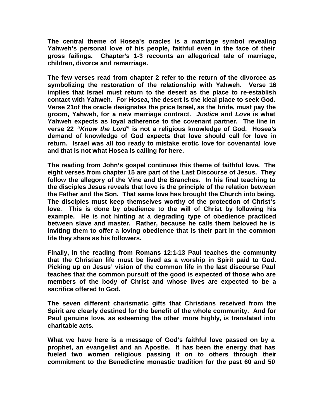**The central theme of Hosea's oracles is a marriage symbol revealing Yahweh's personal love of his people, faithful even in the face of their gross failings. Chapter's 1-3 recounts an allegorical tale of marriage, children, divorce and remarriage.** 

**The few verses read from chapter 2 refer to the return of the divorcee as symbolizing the restoration of the relationship with Yahweh. Verse 16 implies that Israel must return to the desert as the place to re-establish contact with Yahweh. For Hosea, the desert is the ideal place to seek God. Verse 21of the oracle designates the price Israel, as the bride, must pay the groom, Yahweh, for a new marriage contract.** *Justice* **and** *Love* **is what Yahweh expects as loyal adherence to the covenant partner. The line in verse 22** *"Know the Lord"* **is not a religious knowledge of God. Hosea's demand of knowledge of God expects that love should call for love in return. Israel was all too ready to mistake erotic love for covenantal love and that is not what Hosea is calling for here.**

**The reading from John's gospel continues this theme of faithful love. The eight verses from chapter 15 are part of the Last Discourse of Jesus. They follow the allegory of the Vine and the Branches. In his final teaching to the disciples Jesus reveals that love is the principle of the relation between the Father and the Son. That same love has brought the Church into being. The disciples must keep themselves worthy of the protection of Christ's love. This is done by obedience to the will of Christ by following his example. He is not hinting at a degrading type of obedience practiced between slave and master. Rather, because he calls them beloved he is inviting them to offer a loving obedience that is their part in the common life they share as his followers.**

**Finally, in the reading from Romans 12:1-13 Paul teaches the community that the Christian life must be lived as a worship in Spirit paid to God. Picking up on Jesus' vision of the common life in the last discourse Paul teaches that the common pursuit of the good is expected of those who are members of the body of Christ and whose lives are expected to be a sacrifice offered to God.** 

**The seven different charismatic gifts that Christians received from the Spirit are clearly destined for the benefit of the whole community. And for Paul genuine love, as esteeming the other more highly, is translated into charitable acts.** 

**What we have here is a message of God's faithful love passed on by a prophet, an evangelist and an Apostle. It has been the energy that has fueled two women religious passing it on to others through their commitment to the Benedictine monastic tradition for the past 60 and 50**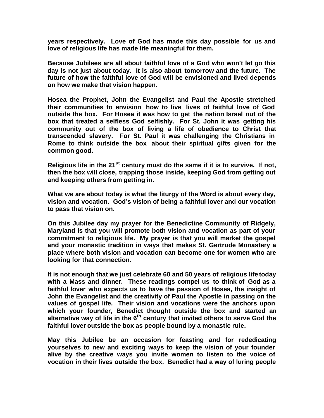**years respectively. Love of God has made this day possible for us and love of religious life has made life meaningful for them.**

**Because Jubilees are all about faithful love of a God who won't let go this day is not just about today. It is also about tomorrow and the future. The future of how the faithful love of God will be envisioned and lived depends on how we make that vision happen.** 

**Hosea the Prophet, John the Evangelist and Paul the Apostle stretched their communities to envision how to live lives of faithful love of God outside the box. For Hosea it was how to get the nation Israel out of the box that treated a selfless God selfishly. For St. John it was getting his community out of the box of living a life of obedience to Christ that transcended slavery. For St. Paul it was challenging the Christians in Rome to think outside the box about their spiritual gifts given for the common good.** 

**Religious life in the 21st century must do the same if it is to survive. If not, then the box will close, trapping those inside, keeping God from getting out and keeping others from getting in.**

**What we are about today is what the liturgy of the Word is about every day, vision and vocation. God's vision of being a faithful lover and our vocation to pass that vision on.**

**On this Jubilee day my prayer for the Benedictine Community of Ridgely, Maryland is that you will promote both vision and vocation as part of your commitment to religious life. My prayer is that you will market the gospel and your monastic tradition in ways that makes St. Gertrude Monastery a place where both vision and vocation can become one for women who are looking for that connection.** 

**It is not enough that we just celebrate 60 and 50 years of religious life today with a Mass and dinner. These readings compel us to think of God as a faithful lover who expects us to have the passion of Hosea, the insight of John the Evangelist and the creativity of Paul the Apostle in passing on the values of gospel life. Their vision and vocations were the anchors upon which your founder, Benedict thought outside the box and started an alternative way of life in the 6th century that invited others to serve God the faithful lover outside the box as people bound by a monastic rule.**

**May this Jubilee be an occasion for feasting and for rededicating yourselves to new and exciting ways to keep the vision of your founder alive by the creative ways you invite women to listen to the voice of vocation in their lives outside the box. Benedict had a way of luring people**